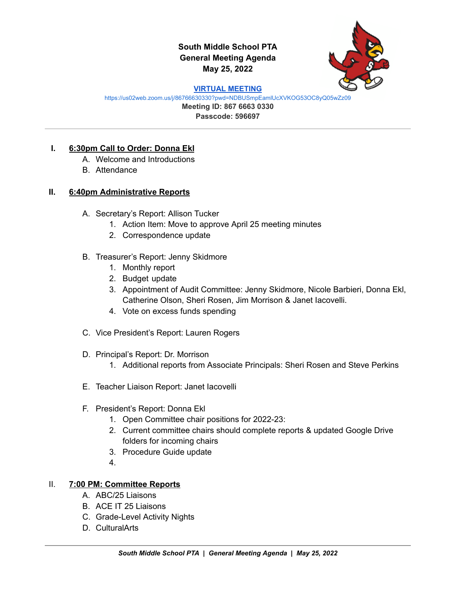# **South Middle School PTA General Meeting Agenda May 25, 2022**



#### **VIRTUAL [MEETING](https://us02web.zoom.us/j/86766630330?pwd=NDBUSmpEamlUcXVKOG53OC8yQ05wZz09)**

<https://us02web.zoom.us/j/86766630330?pwd=NDBUSmpEamlUcXVKOG53OC8yQ05wZz09>

**Meeting ID: 867 6663 0330 Passcode: 596697**

#### **I. 6:30pm Call to Order: Donna Ekl**

- A. Welcome and Introductions
- B. Attendance

## **II. 6:40pm Administrative Reports**

- A. Secretary's Report: Allison Tucker
	- 1. Action Item: Move to approve April 25 meeting minutes
	- 2. Correspondence update
- B. Treasurer's Report: Jenny Skidmore
	- 1. Monthly report
	- 2. Budget update
	- 3. Appointment of Audit Committee: Jenny Skidmore, Nicole Barbieri, Donna Ekl, Catherine Olson, Sheri Rosen, Jim Morrison & Janet Iacovelli.
	- 4. Vote on excess funds spending
- C. Vice President's Report: Lauren Rogers
- D. Principal's Report: Dr. Morrison
	- 1. Additional reports from Associate Principals: Sheri Rosen and Steve Perkins
- E. Teacher Liaison Report: Janet Iacovelli
- F. President's Report: Donna Ekl
	- 1. Open Committee chair positions for 2022-23:
	- 2. Current committee chairs should complete reports & updated Google Drive folders for incoming chairs
	- 3. Procedure Guide update
	- 4.

## II. **7:00 PM: Committee Reports**

- A. ABC/25 Liaisons
- B. ACE IT 25 Liaisons
- C. Grade-Level Activity Nights
- D. CulturalArts